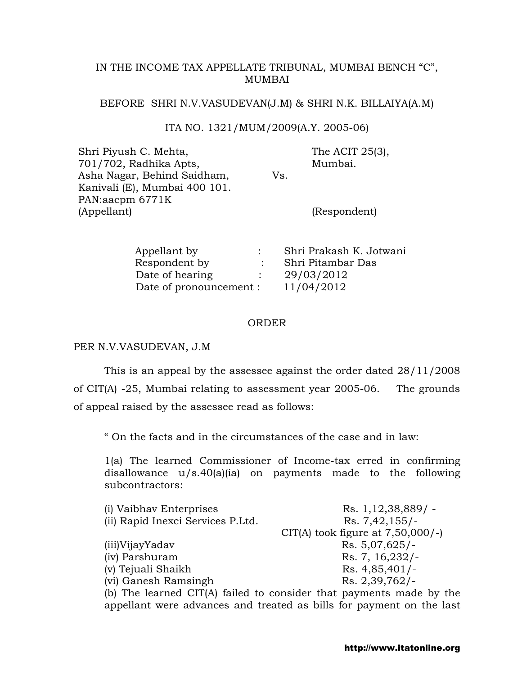# IN THE INCOME TAX APPELLATE TRIBUNAL, MUMBAI BENCH "C", MUMBAI

### BEFORE SHRI N.V.VASUDEVAN(J.M) & SHRI N.K. BILLAIYA(A.M)

## ITA NO. 1321/MUM/2009(A.Y. 2005-06)

Shri Piyush C. Mehta, 701/702, Radhika Apts, Asha Nagar, Behind Saidham, Kanivali (E), Mumbai 400 101. PAN:aacpm 6771K (Appellant) Vs. The ACIT 25(3), Mumbai. (Respondent)

| Appellant by            | Shri Prakash K. Jotwani |
|-------------------------|-------------------------|
| Respondent by           | Shri Pitambar Das       |
| Date of hearing         | 29/03/2012              |
| Date of pronouncement : | 11/04/2012              |

#### ORDER

## PER N.V.VASUDEVAN, J.M

 This is an appeal by the assessee against the order dated 28/11/2008 of CIT(A) -25, Mumbai relating to assessment year 2005-06. The grounds of appeal raised by the assessee read as follows:

" On the facts and in the circumstances of the case and in law:

1(a) The learned Commissioner of Income-tax erred in confirming disallowance u/s.40(a)(ia) on payments made to the following subcontractors:

| (i) Vaibhav Enterprises           | $Rs. 1,12,38,889/ -$                                                         |
|-----------------------------------|------------------------------------------------------------------------------|
| (ii) Rapid Inexci Services P.Ltd. | $Rs. 7,42,155/-$                                                             |
|                                   | CIT(A) took figure at $7,50,000$ /-)                                         |
| (iii)VijayYadav                   | $Rs. 5,07,625/-$                                                             |
| (iv) Parshuram                    | Rs. 7, $16,232/$                                                             |
| (v) Tejuali Shaikh                | $Rs. 4,85,401/-$                                                             |
| (vi) Ganesh Ramsingh              | Rs. 2,39,762/                                                                |
|                                   | (b) The learned $\text{CIT(A)}$ failed to consider that nayments made by the |

The learned CIT(A) failed to consider that payments made by the  $\overline{\phantom{a}}$ appellant were advances and treated as bills for payment on the last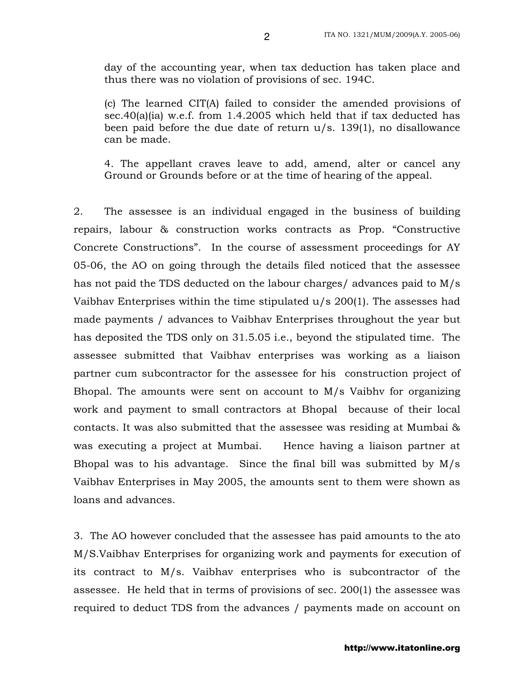day of the accounting year, when tax deduction has taken place and thus there was no violation of provisions of sec. 194C.

(c) The learned CIT(A) failed to consider the amended provisions of sec.40(a)(ia) w.e.f. from 1.4.2005 which held that if tax deducted has been paid before the due date of return u/s. 139(1), no disallowance can be made.

4. The appellant craves leave to add, amend, alter or cancel any Ground or Grounds before or at the time of hearing of the appeal.

2. The assessee is an individual engaged in the business of building repairs, labour & construction works contracts as Prop. "Constructive Concrete Constructions". In the course of assessment proceedings for AY 05-06, the AO on going through the details filed noticed that the assessee has not paid the TDS deducted on the labour charges/ advances paid to M/s Vaibhav Enterprises within the time stipulated u/s 200(1). The assesses had made payments / advances to Vaibhav Enterprises throughout the year but has deposited the TDS only on 31.5.05 i.e., beyond the stipulated time. The assessee submitted that Vaibhav enterprises was working as a liaison partner cum subcontractor for the assessee for his construction project of Bhopal. The amounts were sent on account to M/s Vaibhv for organizing work and payment to small contractors at Bhopal because of their local contacts. It was also submitted that the assessee was residing at Mumbai & was executing a project at Mumbai. Hence having a liaison partner at Bhopal was to his advantage. Since the final bill was submitted by M/s Vaibhav Enterprises in May 2005, the amounts sent to them were shown as loans and advances.

3. The AO however concluded that the assessee has paid amounts to the ato M/S.Vaibhav Enterprises for organizing work and payments for execution of its contract to M/s. Vaibhav enterprises who is subcontractor of the assessee. He held that in terms of provisions of sec. 200(1) the assessee was required to deduct TDS from the advances / payments made on account on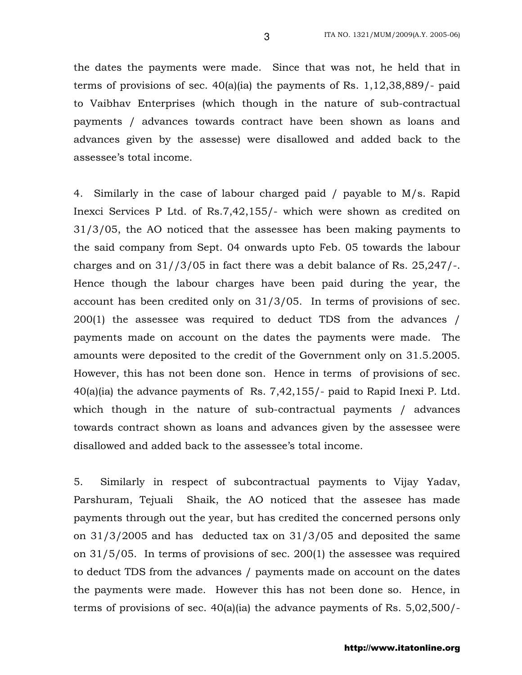the dates the payments were made. Since that was not, he held that in terms of provisions of sec. 40(a)(ia) the payments of Rs. 1,12,38,889/- paid to Vaibhav Enterprises (which though in the nature of sub-contractual payments / advances towards contract have been shown as loans and advances given by the assesse) were disallowed and added back to the assessee's total income.

4. Similarly in the case of labour charged paid / payable to M/s. Rapid Inexci Services P Ltd. of Rs.7,42,155/- which were shown as credited on 31/3/05, the AO noticed that the assessee has been making payments to the said company from Sept. 04 onwards upto Feb. 05 towards the labour charges and on 31//3/05 in fact there was a debit balance of Rs. 25,247/-. Hence though the labour charges have been paid during the year, the account has been credited only on 31/3/05. In terms of provisions of sec. 200(1) the assessee was required to deduct TDS from the advances / payments made on account on the dates the payments were made. The amounts were deposited to the credit of the Government only on 31.5.2005. However, this has not been done son. Hence in terms of provisions of sec.  $40(a)(ia)$  the advance payments of Rs. 7,42,155/- paid to Rapid Inexi P. Ltd. which though in the nature of sub-contractual payments / advances towards contract shown as loans and advances given by the assessee were disallowed and added back to the assessee's total income.

5. Similarly in respect of subcontractual payments to Vijay Yadav, Parshuram, Tejuali Shaik, the AO noticed that the assesee has made payments through out the year, but has credited the concerned persons only on 31/3/2005 and has deducted tax on 31/3/05 and deposited the same on 31/5/05. In terms of provisions of sec. 200(1) the assessee was required to deduct TDS from the advances / payments made on account on the dates the payments were made. However this has not been done so. Hence, in terms of provisions of sec. 40(a)(ia) the advance payments of Rs. 5,02,500/-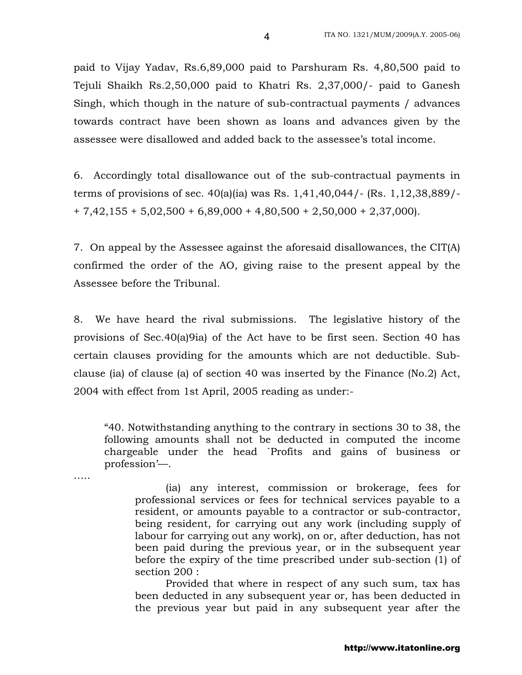paid to Vijay Yadav, Rs.6,89,000 paid to Parshuram Rs. 4,80,500 paid to Tejuli Shaikh Rs.2,50,000 paid to Khatri Rs. 2,37,000/- paid to Ganesh Singh, which though in the nature of sub-contractual payments / advances towards contract have been shown as loans and advances given by the assessee were disallowed and added back to the assessee's total income.

6. Accordingly total disallowance out of the sub-contractual payments in terms of provisions of sec. 40(a)(ia) was Rs. 1,41,40,044/- (Rs. 1,12,38,889/-  $+ 7,42,155 + 5,02,500 + 6,89,000 + 4,80,500 + 2,50,000 + 2,37,000$ 

7. On appeal by the Assessee against the aforesaid disallowances, the CIT(A) confirmed the order of the AO, giving raise to the present appeal by the Assessee before the Tribunal.

8. We have heard the rival submissions. The legislative history of the provisions of Sec.40(a)9ia) of the Act have to be first seen. Section 40 has certain clauses providing for the amounts which are not deductible. Subclause (ia) of clause (a) of section 40 was inserted by the Finance (No.2) Act, 2004 with effect from 1st April, 2005 reading as under:-

"40. Notwithstanding anything to the contrary in sections 30 to 38, the following amounts shall not be deducted in computed the income chargeable under the head `Profits and gains of business or profession'—.

…..

(ia) any interest, commission or brokerage, fees for professional services or fees for technical services payable to a resident, or amounts payable to a contractor or sub-contractor, being resident, for carrying out any work (including supply of labour for carrying out any work), on or, after deduction, has not been paid during the previous year, or in the subsequent year before the expiry of the time prescribed under sub-section (1) of section 200 :

Provided that where in respect of any such sum, tax has been deducted in any subsequent year or, has been deducted in the previous year but paid in any subsequent year after the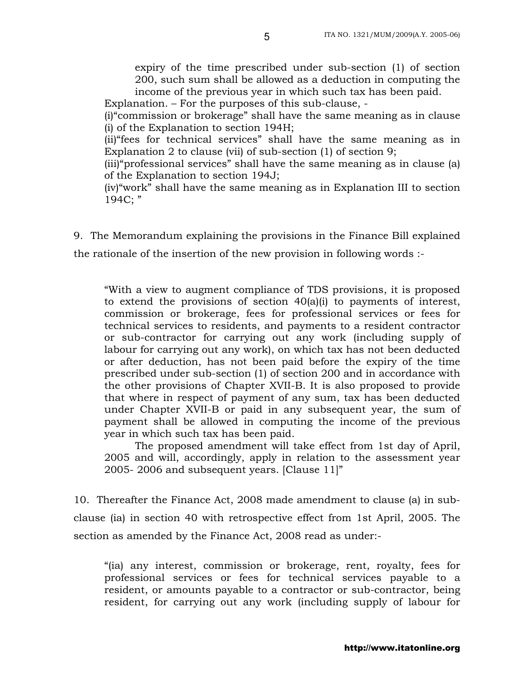expiry of the time prescribed under sub-section (1) of section 200, such sum shall be allowed as a deduction in computing the income of the previous year in which such tax has been paid.

Explanation. – For the purposes of this sub-clause, -

(i)"commission or brokerage" shall have the same meaning as in clause (i) of the Explanation to section 194H;

(ii)"fees for technical services" shall have the same meaning as in Explanation 2 to clause (vii) of sub-section (1) of section 9;

(iii)"professional services" shall have the same meaning as in clause (a) of the Explanation to section 194J;

(iv)"work" shall have the same meaning as in Explanation III to section 194C; "

9. The Memorandum explaining the provisions in the Finance Bill explained

the rationale of the insertion of the new provision in following words :-

"With a view to augment compliance of TDS provisions, it is proposed to extend the provisions of section 40(a)(i) to payments of interest, commission or brokerage, fees for professional services or fees for technical services to residents, and payments to a resident contractor or sub-contractor for carrying out any work (including supply of labour for carrying out any work), on which tax has not been deducted or after deduction, has not been paid before the expiry of the time prescribed under sub-section (1) of section 200 and in accordance with the other provisions of Chapter XVII-B. It is also proposed to provide that where in respect of payment of any sum, tax has been deducted under Chapter XVII-B or paid in any subsequent year, the sum of payment shall be allowed in computing the income of the previous year in which such tax has been paid.

The proposed amendment will take effect from 1st day of April, 2005 and will, accordingly, apply in relation to the assessment year 2005- 2006 and subsequent years. [Clause 11]"

10. Thereafter the Finance Act, 2008 made amendment to clause (a) in subclause (ia) in section 40 with retrospective effect from 1st April, 2005. The section as amended by the Finance Act, 2008 read as under:-

"(ia) any interest, commission or brokerage, rent, royalty, fees for professional services or fees for technical services payable to a resident, or amounts payable to a contractor or sub-contractor, being resident, for carrying out any work (including supply of labour for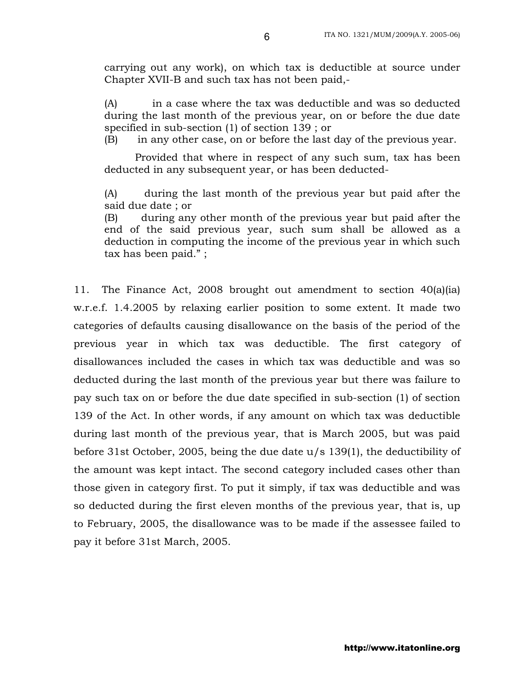carrying out any work), on which tax is deductible at source under Chapter XVII-B and such tax has not been paid,-

(A) in a case where the tax was deductible and was so deducted during the last month of the previous year, on or before the due date specified in sub-section (1) of section 139 ; or

(B) in any other case, on or before the last day of the previous year.

Provided that where in respect of any such sum, tax has been deducted in any subsequent year, or has been deducted-

(A) during the last month of the previous year but paid after the said due date ; or

(B) during any other month of the previous year but paid after the end of the said previous year, such sum shall be allowed as a deduction in computing the income of the previous year in which such tax has been paid." ;

11. The Finance Act, 2008 brought out amendment to section 40(a)(ia) w.r.e.f. 1.4.2005 by relaxing earlier position to some extent. It made two categories of defaults causing disallowance on the basis of the period of the previous year in which tax was deductible. The first category of disallowances included the cases in which tax was deductible and was so deducted during the last month of the previous year but there was failure to pay such tax on or before the due date specified in sub-section (1) of section 139 of the Act. In other words, if any amount on which tax was deductible during last month of the previous year, that is March 2005, but was paid before 31st October, 2005, being the due date u/s 139(1), the deductibility of the amount was kept intact. The second category included cases other than those given in category first. To put it simply, if tax was deductible and was so deducted during the first eleven months of the previous year, that is, up to February, 2005, the disallowance was to be made if the assessee failed to pay it before 31st March, 2005.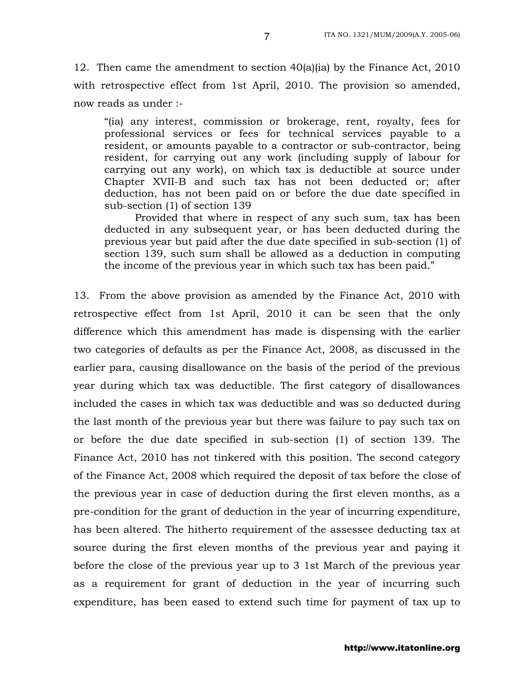12. Then came the amendment to section 40(a)(ia) by the Finance Act, 2010 with retrospective effect from 1st April, 2010. The provision so amended, now reads as under :-

"(ia) any interest, commission or brokerage, rent, royalty, fees for professional services or fees for technical services payable to a resident, or amounts payable to a contractor or sub-contractor, being resident, for carrying out any work (including supply of labour for carrying out any work), on which tax is deductible at source under Chapter XVII-B and such tax has not been deducted or; after deduction, has not been paid on or before the due date specified in sub-section (1) of section 139

Provided that where in respect of any such sum, tax has been deducted in any subsequent year, or has been deducted during the previous year but paid after the due date specified in sub-section (1) of section 139, such sum shall be allowed as a deduction in computing the income of the previous year in which such tax has been paid."

13. From the above provision as amended by the Finance Act, 2010 with retrospective effect from 1st April, 2010 it can be seen that the only difference which this amendment has made is dispensing with the earlier two categories of defaults as per the Finance Act, 2008, as discussed in the earlier para, causing disallowance on the basis of the period of the previous year during which tax was deductible. The first category of disallowances included the cases in which tax was deductible and was so deducted during the last month of the previous year but there was failure to pay such tax on or before the due date specified in sub-section (1) of section 139. The Finance Act, 2010 has not tinkered with this position. The second category of the Finance Act, 2008 which required the deposit of tax before the close of the previous year in case of deduction during the first eleven months, as a pre-condition for the grant of deduction in the year of incurring expenditure, has been altered. The hitherto requirement of the assessee deducting tax at source during the first eleven months of the previous year and paying it before the close of the previous year up to 3 1st March of the previous year as a requirement for grant of deduction in the year of incurring such expenditure, has been eased to extend such time for payment of tax up to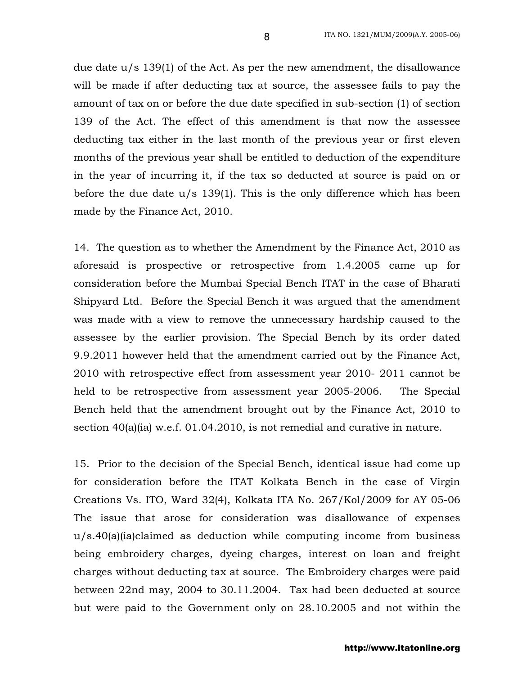due date u/s 139(1) of the Act. As per the new amendment, the disallowance will be made if after deducting tax at source, the assessee fails to pay the amount of tax on or before the due date specified in sub-section (1) of section 139 of the Act. The effect of this amendment is that now the assessee deducting tax either in the last month of the previous year or first eleven months of the previous year shall be entitled to deduction of the expenditure in the year of incurring it, if the tax so deducted at source is paid on or before the due date u/s 139(1). This is the only difference which has been made by the Finance Act, 2010.

14. The question as to whether the Amendment by the Finance Act, 2010 as aforesaid is prospective or retrospective from 1.4.2005 came up for consideration before the Mumbai Special Bench ITAT in the case of Bharati Shipyard Ltd. Before the Special Bench it was argued that the amendment was made with a view to remove the unnecessary hardship caused to the assessee by the earlier provision. The Special Bench by its order dated 9.9.2011 however held that the amendment carried out by the Finance Act, 2010 with retrospective effect from assessment year 2010- 2011 cannot be held to be retrospective from assessment year 2005-2006. The Special Bench held that the amendment brought out by the Finance Act, 2010 to section 40(a)(ia) w.e.f. 01.04.2010, is not remedial and curative in nature.

15. Prior to the decision of the Special Bench, identical issue had come up for consideration before the ITAT Kolkata Bench in the case of Virgin Creations Vs. ITO, Ward 32(4), Kolkata ITA No. 267/Kol/2009 for AY 05-06 The issue that arose for consideration was disallowance of expenses u/s.40(a)(ia)claimed as deduction while computing income from business being embroidery charges, dyeing charges, interest on loan and freight charges without deducting tax at source. The Embroidery charges were paid between 22nd may, 2004 to 30.11.2004. Tax had been deducted at source but were paid to the Government only on 28.10.2005 and not within the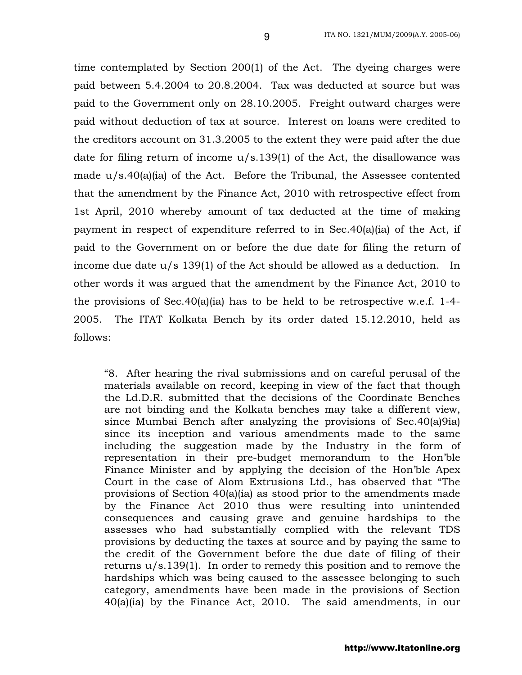time contemplated by Section 200(1) of the Act. The dyeing charges were paid between 5.4.2004 to 20.8.2004. Tax was deducted at source but was paid to the Government only on 28.10.2005. Freight outward charges were paid without deduction of tax at source. Interest on loans were credited to the creditors account on 31.3.2005 to the extent they were paid after the due date for filing return of income u/s.139(1) of the Act, the disallowance was made  $u/s.40(a)(ia)$  of the Act. Before the Tribunal, the Assessee contented that the amendment by the Finance Act, 2010 with retrospective effect from 1st April, 2010 whereby amount of tax deducted at the time of making payment in respect of expenditure referred to in Sec.40(a)(ia) of the Act, if paid to the Government on or before the due date for filing the return of income due date u/s 139(1) of the Act should be allowed as a deduction. In other words it was argued that the amendment by the Finance Act, 2010 to the provisions of Sec.40(a)(ia) has to be held to be retrospective w.e.f. 1-4- 2005. The ITAT Kolkata Bench by its order dated 15.12.2010, held as follows:

"8. After hearing the rival submissions and on careful perusal of the materials available on record, keeping in view of the fact that though the Ld.D.R. submitted that the decisions of the Coordinate Benches are not binding and the Kolkata benches may take a different view, since Mumbai Bench after analyzing the provisions of Sec.40(a)9ia) since its inception and various amendments made to the same including the suggestion made by the Industry in the form of representation in their pre-budget memorandum to the Hon'ble Finance Minister and by applying the decision of the Hon'ble Apex Court in the case of Alom Extrusions Ltd., has observed that "The provisions of Section 40(a)(ia) as stood prior to the amendments made by the Finance Act 2010 thus were resulting into unintended consequences and causing grave and genuine hardships to the assesses who had substantially complied with the relevant TDS provisions by deducting the taxes at source and by paying the same to the credit of the Government before the due date of filing of their returns u/s.139(1). In order to remedy this position and to remove the hardships which was being caused to the assessee belonging to such category, amendments have been made in the provisions of Section 40(a)(ia) by the Finance Act, 2010. The said amendments, in our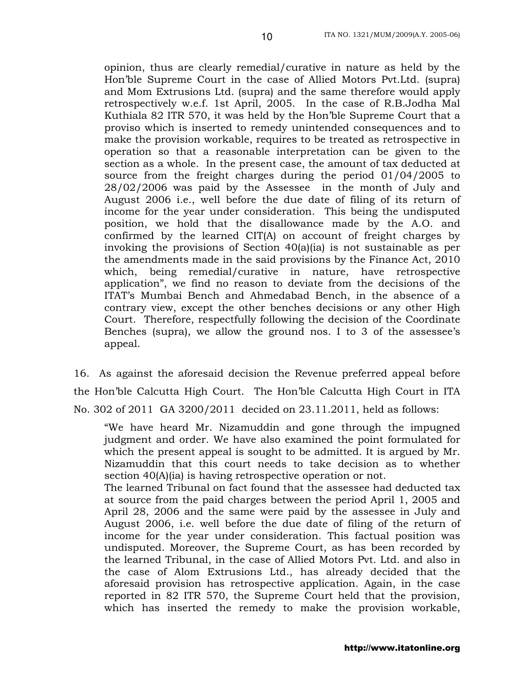opinion, thus are clearly remedial/curative in nature as held by the Hon'ble Supreme Court in the case of Allied Motors Pvt.Ltd. (supra) and Mom Extrusions Ltd. (supra) and the same therefore would apply retrospectively w.e.f. 1st April, 2005. In the case of R.B.Jodha Mal Kuthiala 82 ITR 570, it was held by the Hon'ble Supreme Court that a proviso which is inserted to remedy unintended consequences and to make the provision workable, requires to be treated as retrospective in operation so that a reasonable interpretation can be given to the section as a whole. In the present case, the amount of tax deducted at source from the freight charges during the period 01/04/2005 to 28/02/2006 was paid by the Assessee in the month of July and August 2006 i.e., well before the due date of filing of its return of income for the year under consideration. This being the undisputed position, we hold that the disallowance made by the A.O. and confirmed by the learned CIT(A) on account of freight charges by invoking the provisions of Section 40(a)(ia) is not sustainable as per the amendments made in the said provisions by the Finance Act, 2010 which, being remedial/curative in nature, have retrospective application", we find no reason to deviate from the decisions of the ITAT's Mumbai Bench and Ahmedabad Bench, in the absence of a contrary view, except the other benches decisions or any other High Court. Therefore, respectfully following the decision of the Coordinate Benches (supra), we allow the ground nos. I to 3 of the assessee's appeal.

16. As against the aforesaid decision the Revenue preferred appeal before the Hon'ble Calcutta High Court. The Hon'ble Calcutta High Court in ITA No. 302 of 2011 GA 3200/2011 decided on 23.11.2011, held as follows:

"We have heard Mr. Nizamuddin and gone through the impugned judgment and order. We have also examined the point formulated for which the present appeal is sought to be admitted. It is argued by Mr. Nizamuddin that this court needs to take decision as to whether section 40(A)(ia) is having retrospective operation or not.

The learned Tribunal on fact found that the assessee had deducted tax at source from the paid charges between the period April 1, 2005 and April 28, 2006 and the same were paid by the assessee in July and August 2006, i.e. well before the due date of filing of the return of income for the year under consideration. This factual position was undisputed. Moreover, the Supreme Court, as has been recorded by the learned Tribunal, in the case of Allied Motors Pvt. Ltd. and also in the case of Alom Extrusions Ltd., has already decided that the aforesaid provision has retrospective application. Again, in the case reported in 82 ITR 570, the Supreme Court held that the provision, which has inserted the remedy to make the provision workable,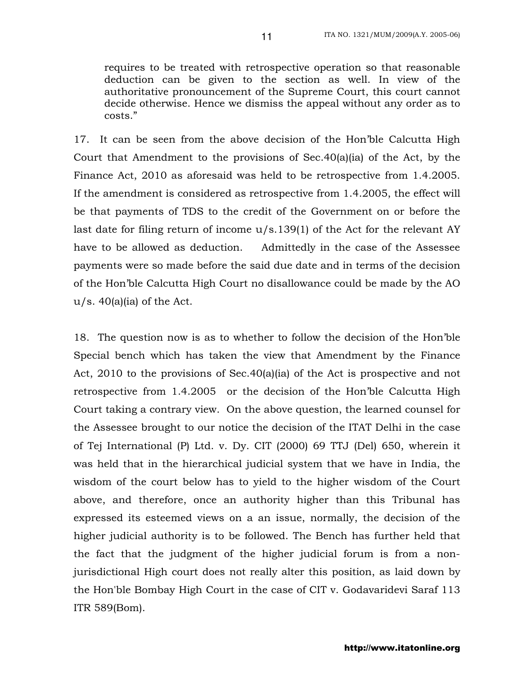requires to be treated with retrospective operation so that reasonable deduction can be given to the section as well. In view of the authoritative pronouncement of the Supreme Court, this court cannot decide otherwise. Hence we dismiss the appeal without any order as to costs."

17. It can be seen from the above decision of the Hon'ble Calcutta High Court that Amendment to the provisions of Sec.40(a)(ia) of the Act, by the Finance Act, 2010 as aforesaid was held to be retrospective from 1.4.2005. If the amendment is considered as retrospective from 1.4.2005, the effect will be that payments of TDS to the credit of the Government on or before the last date for filing return of income u/s.139(1) of the Act for the relevant AY have to be allowed as deduction. Admittedly in the case of the Assessee payments were so made before the said due date and in terms of the decision of the Hon'ble Calcutta High Court no disallowance could be made by the AO  $u/s.$  40(a)(ia) of the Act.

18. The question now is as to whether to follow the decision of the Hon'ble Special bench which has taken the view that Amendment by the Finance Act,  $2010$  to the provisions of Sec.40(a)(ia) of the Act is prospective and not retrospective from 1.4.2005 or the decision of the Hon'ble Calcutta High Court taking a contrary view. On the above question, the learned counsel for the Assessee brought to our notice the decision of the ITAT Delhi in the case of Tej International (P) Ltd. v. Dy. CIT (2000) 69 TTJ (Del) 650, wherein it was held that in the hierarchical judicial system that we have in India, the wisdom of the court below has to yield to the higher wisdom of the Court above, and therefore, once an authority higher than this Tribunal has expressed its esteemed views on a an issue, normally, the decision of the higher judicial authority is to be followed. The Bench has further held that the fact that the judgment of the higher judicial forum is from a nonjurisdictional High court does not really alter this position, as laid down by the Hon'ble Bombay High Court in the case of CIT v. Godavaridevi Saraf 113 ITR 589(Bom).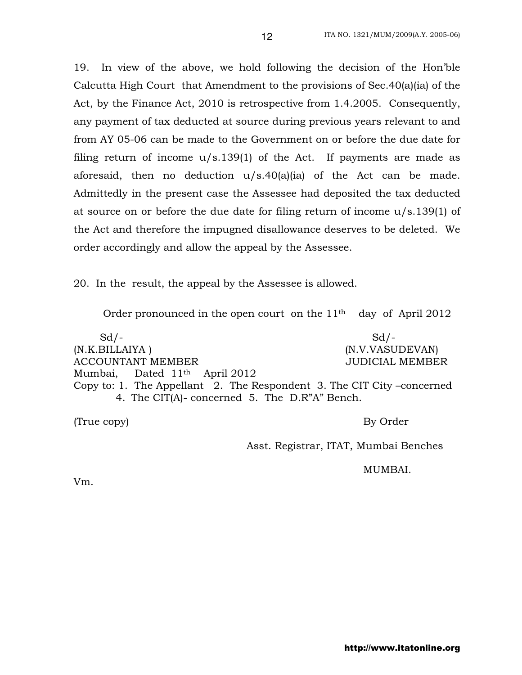19. In view of the above, we hold following the decision of the Hon'ble Calcutta High Court that Amendment to the provisions of Sec.40(a)(ia) of the Act, by the Finance Act, 2010 is retrospective from 1.4.2005. Consequently, any payment of tax deducted at source during previous years relevant to and from AY 05-06 can be made to the Government on or before the due date for filing return of income  $u/s.139(1)$  of the Act. If payments are made as aforesaid, then no deduction u/s.40(a)(ia) of the Act can be made. Admittedly in the present case the Assessee had deposited the tax deducted at source on or before the due date for filing return of income u/s.139(1) of the Act and therefore the impugned disallowance deserves to be deleted. We order accordingly and allow the appeal by the Assessee.

20. In the result, the appeal by the Assessee is allowed.

Order pronounced in the open court on the 11th day of April 2012

 $Sd$ - $Sd$ -(N.K.BILLAIYA ) (N.V.VASUDEVAN) ACCOUNTANT MEMBER JUDICIAL MEMBER Mumbai, Dated 11th April 2012 Copy to: 1. The Appellant 2. The Respondent 3. The CIT City –concerned 4. The CIT(A)- concerned 5. The D.R"A" Bench.

(True copy) By Order

Asst. Registrar, ITAT, Mumbai Benches

MUMBAI.

Vm.